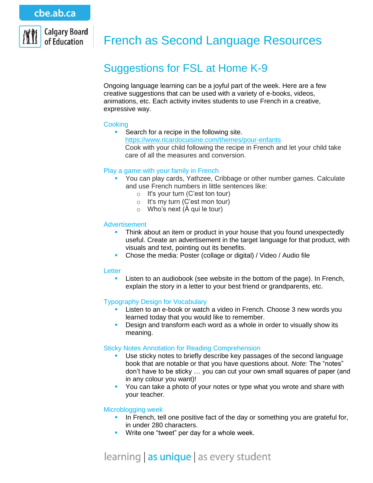

# French as Second Language Resources

# Suggestions for FSL at Home K-9

Ongoing language learning can be a joyful part of the week. Here are a few creative suggestions that can be used with a variety of e-books, videos, animations, etc. Each activity invites students to use French in a creative, expressive way.

# **Cooking**

Search for a recipe in the following site. <https://www.ricardocuisine.com/themes/pour-enfants> Cook with your child following the recipe in French and let your child take care of all the measures and conversion.

# Play a game with your family in French

- You can play cards, Yathzee, Cribbage or other number games. Calculate and use French numbers in little sentences like:
	- $\circ$  It's your turn (C'est ton tour)
	- o It's my turn (C'est mon tour)
	- $\circ$  Who's next ( $\hat{A}$  qui le tour)

# **Advertisement**

- Think about an item or product in your house that you found unexpectedly useful. Create an advertisement in the target language for that product, with visuals and text, pointing out its benefits.
- Chose the media: Poster (collage or digital) / Video / Audio file

### Letter

 Listen to an audiobook (see website in the bottom of the page). In French, explain the story in a letter to your best friend or grandparents, etc.

# Typography Design for Vocabulary

- Listen to an e-book or watch a video in French. Choose 3 new words you learned today that you would like to remember.
- **Design and transform each word as a whole in order to visually show its** meaning.

#### Sticky Notes Annotation for Reading Comprehension

- Use sticky notes to briefly describe key passages of the second language book that are notable or that you have questions about. *Note:* The "notes" don't have to be sticky … you can cut your own small squares of paper (and in any colour you want)!
- You can take a photo of your notes or type what you wrote and share with your teacher.

#### Microblogging week

- In French, tell one positive fact of the day or something you are grateful for, in under 280 characters.
- **Write one "tweet" per day for a whole week.**

# learning as unique as every student